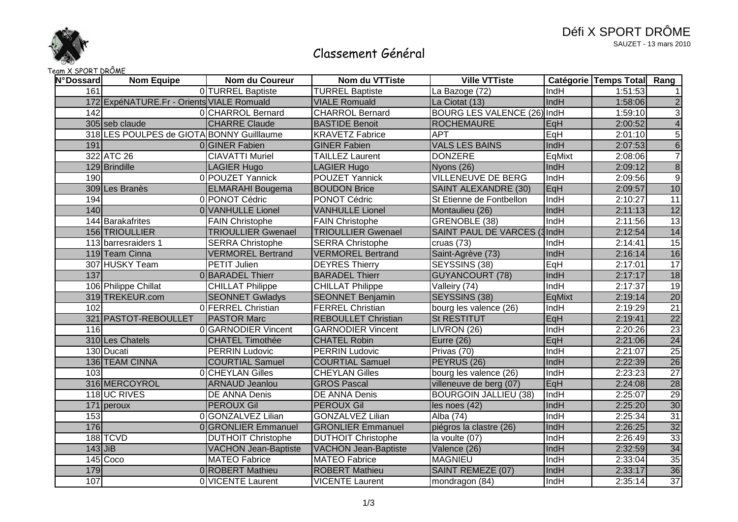

# Classement Général

### Team X SPORT DRÔME

| <b>N°Dossard</b> | <b>Nom Equipe</b>                         | <b>Nom du Coureur</b>       | Nom du VTTiste              | <b>Ville VTTiste</b>         |             | Catégorie Temps Total Rang |                 |
|------------------|-------------------------------------------|-----------------------------|-----------------------------|------------------------------|-------------|----------------------------|-----------------|
| 161              |                                           | OITURREL Baptiste           | <b>TURREL Baptiste</b>      | La Bazoge (72)               | IndH        | 1:51:53                    |                 |
|                  | 172 ExpéNATURE.Fr - Orients VIALE Romuald |                             | <b>VIALE Romuald</b>        | La Ciotat (13)               | IndH        | 1:58:06                    | $\overline{2}$  |
| 142              |                                           | 0 CHARROL Bernard           | <b>CHARROL Bernard</b>      | BOURG LES VALENCE (26) IndH  |             | 1:59:10                    | دن              |
|                  | 305 seb claude                            | <b>CHARRE Claude</b>        | <b>BASTIDE Benoit</b>       | <b>ROCHEMAURE</b>            | EqH         | 2:00:52                    | $\overline{4}$  |
|                  | 318 LES POULPES de GIOTA BONNY Guillaume  |                             | <b>KRAVETZ Fabrice</b>      | <b>APT</b>                   | EqH         | 2:01:10                    | $\overline{5}$  |
| 191              |                                           | 0 GINER Fabien              | <b>GINER Fabien</b>         | <b>VALS LES BAINS</b>        | IndH        | 2:07:53                    | $\sqrt{6}$      |
|                  | 322 ATC 26                                | <b>CIAVATTI Muriel</b>      | <b>TAILLEZ Laurent</b>      | <b>DONZERE</b>               | EqMixt      | 2:08:06                    | $\overline{7}$  |
|                  | 129 Brindille                             | <b>LAGIER Hugo</b>          | <b>LAGIER Hugo</b>          | Nyons (26)                   | IndH        | 2:09:12                    | $\overline{8}$  |
| 190              |                                           | 0 POUZET Yannick            | POUZET Yannick              | <b>VILLENEUVE DE BERG</b>    | IndH        | 2:09:56                    | $\overline{9}$  |
|                  | 309 Les Branès                            | <b>ELMARAHI Bougema</b>     | <b>BOUDON Brice</b>         | SAINT ALEXANDRE (30)         | EqH         | 2:09:57                    | 10              |
| 194              |                                           | 0 PONOT Cédric              | PONOT Cédric                | St Etienne de Fontbellon     | IndH        | 2:10:27                    | 11              |
| 140              |                                           | 0 VANHULLE Lionel           | <b>VANHULLE Lionel</b>      | Montaulieu (26)              | IndH        | 2:11:13                    | 12              |
|                  | 144 Barakafrites                          | <b>FAIN Christophe</b>      | <b>FAIN Christophe</b>      | GRENOBLE (38)                | IndH        | 2:11:56                    | $\overline{13}$ |
|                  | 156 TRIOULLIER                            | <b>TRIOULLIER Gwenael</b>   | <b>TRIOULLIER Gwenael</b>   | SAINT PAUL DE VARCES (3IndH  |             | 2:12:54                    | 14              |
|                  | 113 barresraiders 1                       | <b>SERRA Christophe</b>     | <b>SERRA Christophe</b>     | cruas (73)                   | IndH        | 2:14:41                    | $\overline{15}$ |
|                  | 119 Team Cinna                            | <b>VERMOREL Bertrand</b>    | <b>VERMOREL Bertrand</b>    | Saint-Agrève (73)            | IndH        | 2:16:14                    | 16              |
|                  | 307 HUSKY Team                            | PETIT Julien                | <b>DEYRES Thierry</b>       | SEYSSINS (38)                | EqH         | 2:17:01                    | 17              |
| 137              |                                           | 0 BARADEL Thierr            | <b>BARADEL Thierr</b>       | <b>GUYANCOURT (78)</b>       | IndH        | 2:17:17                    | 18              |
|                  | 106 Philippe Chillat                      | <b>CHILLAT Philippe</b>     | <b>CHILLAT Philippe</b>     | Valleiry (74)                | IndH        | 2:17:37                    | 19              |
|                  | 319 TREKEUR.com                           | <b>SEONNET Gwladys</b>      | <b>SEONNET Benjamin</b>     | <b>SEYSSINS (38)</b>         | EqMixt      | 2:19:14                    | 20              |
| 102              |                                           | 0 FERREL Christian          | <b>FERREL Christian</b>     | bourg les valence (26)       | IndH        | 2:19:29                    | $\overline{21}$ |
|                  | 321 PASTOT-REBOULLET                      | <b>PASTOR Marc</b>          | <b>REBOULLET Christian</b>  | <b>St RESTITUT</b>           | EqH         | 2:19:41                    | $\overline{22}$ |
| 116              |                                           | 0 GARNODIER Vincent         | <b>GARNODIER Vincent</b>    | LIVRON (26)                  | IndH        | 2:20:26                    | $\overline{23}$ |
|                  | 310 Les Chatels                           | <b>CHATEL Timothée</b>      | <b>CHATEL Robin</b>         | Eurre (26)                   | EqH         | 2:21:06                    | 24              |
|                  | 130 Ducati                                | <b>PERRIN Ludovic</b>       | <b>PERRIN Ludovic</b>       | Privas (70)                  | IndH        | 2:21:07                    | 25              |
|                  | 136 TEAM CINNA                            | <b>COURTIAL Samuel</b>      | <b>COURTIAL Samuel</b>      | PEYRUS (26)                  | IndH        | 2:22:39                    | 26              |
| 103              |                                           | 0 CHEYLAN Gilles            | <b>CHEYLAN Gilles</b>       | bourg les valence (26)       | IndH        | 2:23:23                    | 27              |
|                  | 316 MERCOYROL                             | <b>ARNAUD Jeanlou</b>       | <b>GROS Pascal</b>          | villeneuve de berg (07)      | EqH         | 2:24:08                    | 28              |
|                  | 118 UC RIVES                              | <b>DE ANNA Denis</b>        | <b>DE ANNA Denis</b>        | <b>BOURGOIN JALLIEU (38)</b> | IndH        | 2:25:07                    | 29              |
|                  | 171 peroux                                | <b>PEROUX Gil</b>           | <b>PEROUX Gil</b>           | les noes (42)                | IndH        | 2:25:20                    | 30              |
| 153              |                                           | 0 GONZALVEZ Lilian          | <b>GONZALVEZ Lilian</b>     | Alba (74)                    | IndH        | 2:25:34                    | 31              |
| 176              |                                           | 0 GRONLIER Emmanuel         | <b>GRONLIER Emmanuel</b>    | piégros la clastre (26)      | IndH        | 2:26:25                    | 32              |
|                  | 188 TCVD                                  | <b>DUTHOIT Christophe</b>   | <b>DUTHOIT Christophe</b>   | la voulte (07)               | IndH        | 2:26:49                    | $\overline{33}$ |
| $143$ JiB        |                                           | <b>VACHON Jean-Baptiste</b> | <b>VACHON Jean-Baptiste</b> | Valence (26)                 | <b>IndH</b> | 2:32:59                    | 34              |
|                  | $145$ Coco                                | <b>MATEO Fabrice</b>        | <b>MATEO</b> Fabrice        | <b>MAGNIEU</b>               | IndH        | 2:33:04                    | 35              |
| 179              |                                           | 0 ROBERT Mathieu            | <b>ROBERT Mathieu</b>       | <b>SAINT REMEZE (07)</b>     | IndH        | 2:33:17                    | 36              |
| 107              |                                           | 0 VICENTE Laurent           | <b>VICENTE Laurent</b>      | mondragon (84)               | IndH        | 2:35:14                    | 37              |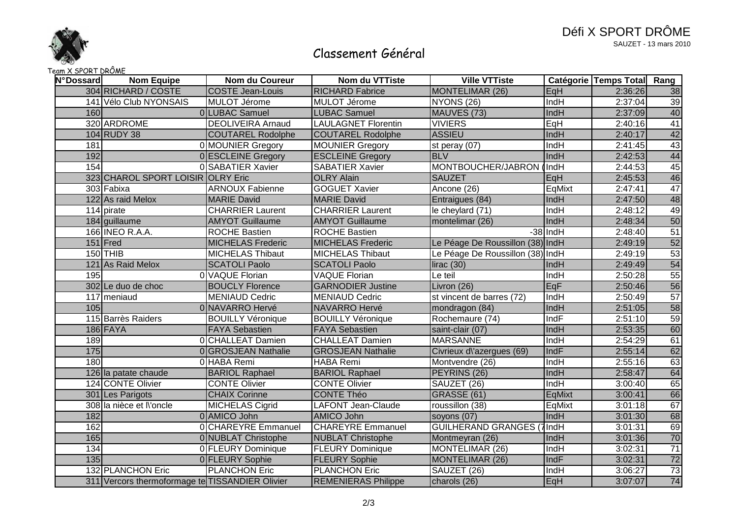

# Classement Général

#### Team X SPORT DRÔME

| N°Dossard | <b>Nom Equipe</b>                               | Nom du Coureur           | Nom du VTTiste             | <b>Ville VTTiste</b>             |             | Catégorie Temps Total Rang |                 |
|-----------|-------------------------------------------------|--------------------------|----------------------------|----------------------------------|-------------|----------------------------|-----------------|
|           | 304 RICHARD / COSTE                             | <b>COSTE Jean-Louis</b>  | <b>RICHARD Fabrice</b>     | MONTELIMAR (26)                  | EqH         | 2:36:26                    | 38              |
|           | 141 Vélo Club NYONSAIS                          | MULOT Jérome             | MULOT Jérome               | NYONS (26)                       | IndH        | 2:37:04                    | $\overline{39}$ |
| 160       |                                                 | 0 LUBAC Samuel           | <b>LUBAC Samuel</b>        | MAUVES (73)                      | IndH        | 2:37:09                    | 40              |
|           | 320 ARDROME                                     | <b>DEOLIVEIRA Arnaud</b> | <b>LAULAGNET Florentin</b> | <b>VIVIERS</b>                   | EqH         | 2:40:16                    | 41              |
|           | 104 RUDY 38                                     | <b>COUTAREL Rodolphe</b> | <b>COUTAREL Rodolphe</b>   | <b>ASSIEU</b>                    | IndH        | 2:40:17                    | 42              |
| 181       |                                                 | 0 MOUNIER Gregory        | <b>MOUNIER Gregory</b>     | st peray (07)                    | IndH        | 2:41:45                    | 43              |
| 192       |                                                 | 0 ESCLEINE Gregory       | <b>ESCLEINE Gregory</b>    | <b>BLV</b>                       | IndH        | 2:42:53                    | 44              |
| 154       |                                                 | 0 SABATIER Xavier        | <b>SABATIER Xavier</b>     | MONTBOUCHER/JABRON               | (IndH)      | 2:44:53                    | 45              |
|           | 323 CHAROL SPORT LOISIR OLRY Eric               |                          | <b>OLRY Alain</b>          | <b>SAUZET</b>                    | EqH         | 2:45:53                    | 46              |
|           | 303 Fabixa                                      | <b>ARNOUX Fabienne</b>   | <b>GOGUET Xavier</b>       | Ancone (26)                      | EqMixt      | 2:47:41                    | 47              |
|           | 122 As raid Melox                               | <b>MARIE David</b>       | <b>MARIE David</b>         | Entraigues (84)                  | IndH        | 2:47:50                    | 48              |
|           | 114 pirate                                      | <b>CHARRIER Laurent</b>  | <b>CHARRIER Laurent</b>    | le cheylard (71)                 | IndH        | 2:48:12                    | 49              |
|           | 184 guillaume                                   | <b>AMYOT Guillaume</b>   | <b>AMYOT Guillaume</b>     | montelimar (26)                  | IndH        | 2:48:34                    | 50              |
|           | 166 INEO R.A.A.                                 | <b>ROCHE Bastien</b>     | <b>ROCHE Bastien</b>       |                                  | $-38$ IndH  | 2:48:40                    | 51              |
|           | $151$ Fred                                      | <b>MICHELAS Frederic</b> | <b>MICHELAS Frederic</b>   | Le Péage De Roussillon (38) IndH |             | 2:49:19                    | 52              |
|           | $150$ THIB                                      | <b>MICHELAS Thibaut</b>  | <b>MICHELAS Thibaut</b>    | Le Péage De Roussillon (38) IndH |             | 2:49:19                    | 53              |
|           | 121 As Raid Melox                               | <b>SCATOLI Paolo</b>     | <b>SCATOLI Paolo</b>       | lirac(30)                        | IndH        | 2:49:49                    | 54              |
| 195       |                                                 | 0 VAQUE Florian          | <b>VAQUE Florian</b>       | Le teil                          | <b>IndH</b> | 2:50:28                    | 55              |
|           | 302 Le duo de choc                              | <b>BOUCLY Florence</b>   | <b>GARNODIER Justine</b>   | Livron (26)                      | EqF         | 2:50:46                    | 56              |
|           | 117 meniaud                                     | <b>MENIAUD Cedric</b>    | <b>MENIAUD Cedric</b>      | st vincent de barres (72)        | IndH        | 2:50:49                    | 57              |
| 105       |                                                 | 0 NAVARRO Hervé          | <b>NAVARRO Hervé</b>       | mondragon (84)                   | IndH        | 2:51:05                    | 58              |
|           | 115 Barrès Raiders                              | <b>BOUILLY Véronique</b> | <b>BOUILLY Véronique</b>   | Rochemaure (74)                  | IndF        | 2:51:10                    | 59              |
|           | 186 FAYA                                        | <b>FAYA Sebastien</b>    | <b>FAYA Sebastien</b>      | saint-clair (07)                 | IndH        | 2:53:35                    | 60              |
| 189       |                                                 | <b>OICHALLEAT Damien</b> | <b>CHALLEAT Damien</b>     | <b>MARSANNE</b>                  | IndH        | 2:54:29                    | 61              |
| 175       |                                                 | 0 GROSJEAN Nathalie      | <b>GROSJEAN Nathalie</b>   | Civrieux d\'azergues (69)        | IndF        | 2:55:14                    | 62              |
| 180       |                                                 | 0 HABA Remi              | <b>HABA Remi</b>           | Montvendre (26)                  | IndH        | 2:55:16                    | 63              |
|           | 126 la patate chaude                            | <b>BARIOL Raphael</b>    | <b>BARIOL Raphael</b>      | PEYRINS (26)                     | IndH        | 2:58:47                    | 64              |
|           | 124 CONTE Olivier                               | <b>CONTE Olivier</b>     | <b>CONTE Olivier</b>       | SAUZET (26)                      | IndH        | 3:00:40                    | 65              |
|           | 301 Les Parigots                                | <b>CHAIX Corinne</b>     | <b>CONTE Théo</b>          | <b>GRASSE (61)</b>               | EqMixt      | 3:00:41                    | 66              |
|           | 308 la nièce et Noncle                          | <b>MICHELAS Cigrid</b>   | <b>LAFONT Jean-Claude</b>  | roussillon (38)                  | EqMixt      | 3:01:18                    | 67              |
| 182       |                                                 | 0 AMICO John             | AMICO John                 | soyons (07)                      | IndH        | 3:01:30                    | 68              |
| 162       |                                                 | 0 CHAREYRE Emmanuel      | <b>CHAREYRE Emmanuel</b>   | <b>GUILHERAND GRANGES (7IndH</b> |             | 3:01:31                    | 69              |
| 165       |                                                 | 0 NUBLAT Christophe      | <b>NUBLAT Christophe</b>   | Montmeyran (26)                  | IndH        | 3:01:36                    | $70$            |
| 134       |                                                 | 0 FLEURY Dominique       | <b>FLEURY Dominique</b>    | MONTELIMAR (26)                  | IndH        | 3:02:31                    | 71              |
| 135       |                                                 | 0 FLEURY Sophie          | <b>FLEURY Sophie</b>       | MONTELIMAR (26)                  | IndF        | 3:02:31                    | 72              |
|           | <b>132 PLANCHON Eric</b>                        | <b>PLANCHON Eric</b>     | <b>PLANCHON Eric</b>       | SAUZET (26)                      | IndH        | 3:06:27                    | 73              |
|           | 311 Vercors thermoformage te TISSANDIER Olivier |                          | <b>REMENIERAS Philippe</b> | charols (26)                     | EqH         | 3:07:07                    | 74              |